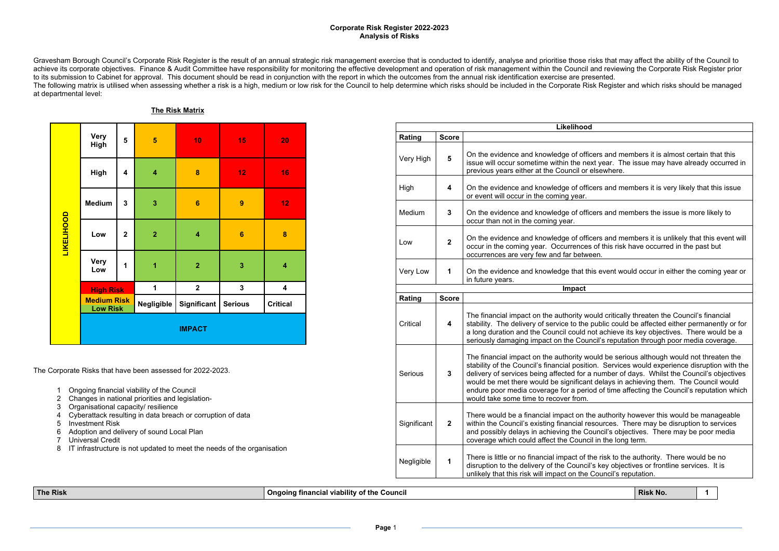| ٦<br>e v |     |  |  |
|----------|-----|--|--|
| ×        | . . |  |  |

cers and members it is almost certain that this ext year. The issue may have already occurred in elsewhere.

cers and members it is very likely that this issue

cers and members the issue is more likely to

cers and members it is unlikely that this event will s of this risk have occurred in the past but

1<sup>1</sup> Also event would occur in either the coming year or

ould critically threaten the Council's financial public could be affected either permanently or for not achieve its key objectives. There would be a ncil's reputation through poor media coverage.

ould be serious although would not threaten the on. Services would experience disruption with the a number of days. Whilst the Council's objectives it delays in achieving them. The Council would od of time affecting the Council's reputation which

he authority however this would be manageable esources. There may be disruption to services. ouncil's objectives. There may be poor media cil in the long term.

the risk to the authority. There would be no l's key objectives or frontline services. It is Council's reputation.

Gravesham Borough Council's Corporate Risk Register is the result of an annual strategic risk management exercise that is conducted to identify, analyse and prioritise those risks that may affect the ability of the Council achieve its corporate objectives. Finance & Audit Committee have responsibility for monitoring the effective development and operation of risk management within the Council and reviewing the Corporate Risk Register prior to its submission to Cabinet for approval. This document should be read in conjunction with the report in which the outcomes from the annual risk identification exercise are presented. The following matrix is utilised when assessing whether a risk is a high, medium or low risk for the Council to help determine which risks should be included in the Corporate Risk Register and which risks should be managed at departmental level:

**The Risk Matrix**

|                   | <b>Very</b><br><b>High</b>            | 5                       | $\overline{5}$          | 10                      | 15               | 20                      |
|-------------------|---------------------------------------|-------------------------|-------------------------|-------------------------|------------------|-------------------------|
|                   | <b>High</b>                           | $\overline{\mathbf{4}}$ | $\overline{\mathbf{4}}$ | 8                       | 12               | 16                      |
|                   | <b>Medium</b>                         | 3                       | 3                       | $6\phantom{1}6$         | $\boldsymbol{9}$ | 12                      |
| <b>LIKELIHOOD</b> | Low                                   | $\overline{2}$          | $\overline{2}$          | $\overline{\mathbf{4}}$ | $6\phantom{1}6$  | 8                       |
|                   | <b>Very</b><br>Low                    | 1                       | $\overline{1}$          | $\overline{2}$          | 3                | $\overline{\mathbf{4}}$ |
|                   | <b>High Risk</b>                      |                         | 1                       | $\overline{2}$          | $\mathbf 3$      | 4                       |
|                   | <b>Medium Risk</b><br><b>Low Risk</b> |                         | <b>Negligible</b>       | <b>Significant</b>      | <b>Serious</b>   | <b>Critical</b>         |
|                   |                                       |                         |                         | <b>IMPACT</b>           |                  |                         |

The Corporate Risks that have been assessed for 2022-2023.

- 1 Ongoing financial viability of the Council
- 2 Changes in national priorities and legislation-
- 3 Organisational capacity/ resilience
- 4 Cyberattack resulting in data breach or corruption of data
- 5 Investment Risk
- 6 Adoption and delivery of sound Local Plan
- 7 Universal Credit
- 8 IT infrastructure is not updated to meet the needs of the organisation

|             |                | Likelihood                                                                                                                                                                                                                                                                         |
|-------------|----------------|------------------------------------------------------------------------------------------------------------------------------------------------------------------------------------------------------------------------------------------------------------------------------------|
| Rating      | <b>Score</b>   |                                                                                                                                                                                                                                                                                    |
| Very High   | 5              | On the evidence and knowledge of officers<br>issue will occur sometime within the next y<br>previous years either at the Council or else                                                                                                                                           |
| High        | 4              | On the evidence and knowledge of officers<br>or event will occur in the coming year.                                                                                                                                                                                               |
| Medium      | 3              | On the evidence and knowledge of officers<br>occur than not in the coming year.                                                                                                                                                                                                    |
| Low         | $\overline{2}$ | On the evidence and knowledge of officers<br>occur in the coming year. Occurrences of<br>occurrences are very few and far between.                                                                                                                                                 |
| Very Low    | 1              | On the evidence and knowledge that this e<br>in future years.                                                                                                                                                                                                                      |
|             |                | Impact                                                                                                                                                                                                                                                                             |
| Rating      | <b>Score</b>   |                                                                                                                                                                                                                                                                                    |
| Critical    | 4              | The financial impact on the authority would<br>stability. The delivery of service to the pub<br>a long duration and the Council could not a<br>seriously damaging impact on the Council's                                                                                          |
| Serious     | 3              | The financial impact on the authority would<br>stability of the Council's financial position.<br>delivery of services being affected for a nul<br>would be met there would be significant de<br>endure poor media coverage for a period o<br>would take some time to recover from. |
| Significant | $\overline{2}$ | There would be a financial impact on the a<br>within the Council's existing financial resou<br>and possibly delays in achieving the Cound<br>coverage which could affect the Council in                                                                                            |
| Negligible  | 1              | There is little or no financial impact of the r<br>disruption to the delivery of the Council's ke<br>unlikely that this risk will impact on the Cou                                                                                                                                |

**The** Risk **No. 1 Congoing Example 2016 Congoing EXAMPLE 2018 Risk No. 1 Risk No. 1 1**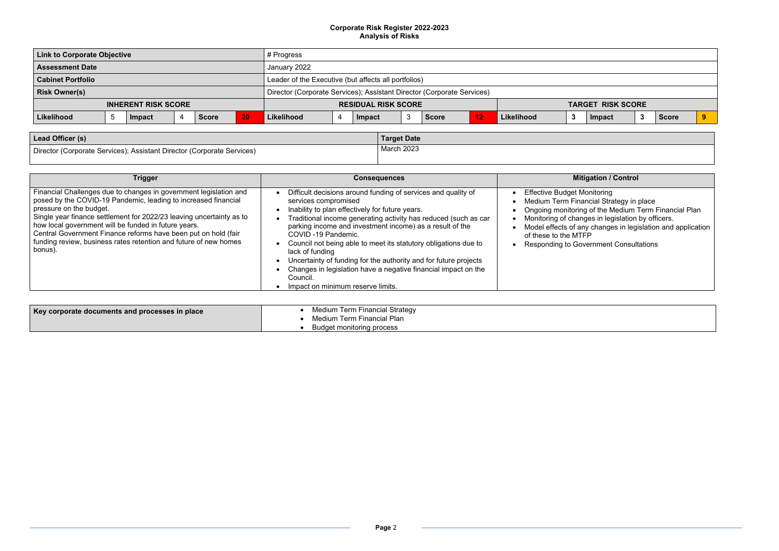| <b>Link to Corporate Objective</b> |      |        | # Progress                                                             |                                                      |                            |  |        |  |              |  |                          |  |        |     |              |   |
|------------------------------------|------|--------|------------------------------------------------------------------------|------------------------------------------------------|----------------------------|--|--------|--|--------------|--|--------------------------|--|--------|-----|--------------|---|
| <b>Assessment Date</b>             |      |        | January 2022                                                           |                                                      |                            |  |        |  |              |  |                          |  |        |     |              |   |
| <b>Cabinet Portfolio</b>           |      |        |                                                                        | Leader of the Executive (but affects all portfolios) |                            |  |        |  |              |  |                          |  |        |     |              |   |
| <b>Risk Owner(s)</b>               |      |        | Director (Corporate Services); Assistant Director (Corporate Services) |                                                      |                            |  |        |  |              |  |                          |  |        |     |              |   |
| <b>INHERENT RISK SCORE</b>         |      |        |                                                                        |                                                      | <b>RESIDUAL RISK SCORE</b> |  |        |  |              |  | <b>TARGET RISK SCORE</b> |  |        |     |              |   |
| Likelihood                         | . ರಿ | Impact | <b>Score</b>                                                           | 20                                                   | Likelihood                 |  | Impact |  | <b>Score</b> |  | Likelihood               |  | Impact | - - | <b>Score</b> | 9 |
|                                    |      |        |                                                                        |                                                      |                            |  |        |  |              |  |                          |  |        |     |              |   |

| Lead Officer (s)                                                       | <b>Target Date</b> |
|------------------------------------------------------------------------|--------------------|
| Director (Corporate Services); Assistant Director (Corporate Services) | March 2023         |

# **Trigger Consequences Mitigation / Control**

- 
- Ongoing monitoring of the Medium Term Financial Plan
- Monitoring of changes in legislation by officers.
- Model effects of any changes in legislation and application
	- ernment Consultations

| Trigger                                                                                                                                                                                                                                                                                                                                                                                                                                         | <b>Consequences</b>                                                                                                                                                                                                                                                                                                                                                                                                                                                                                                                                                        | <b>Mitigation / Control</b>                                                                                                                                                                                                                                                                |
|-------------------------------------------------------------------------------------------------------------------------------------------------------------------------------------------------------------------------------------------------------------------------------------------------------------------------------------------------------------------------------------------------------------------------------------------------|----------------------------------------------------------------------------------------------------------------------------------------------------------------------------------------------------------------------------------------------------------------------------------------------------------------------------------------------------------------------------------------------------------------------------------------------------------------------------------------------------------------------------------------------------------------------------|--------------------------------------------------------------------------------------------------------------------------------------------------------------------------------------------------------------------------------------------------------------------------------------------|
| Financial Challenges due to changes in government legislation and<br>posed by the COVID-19 Pandemic, leading to increased financial<br>pressure on the budget.<br>Single year finance settlement for 2022/23 leaving uncertainty as to<br>how local government will be funded in future years.<br>Central Government Finance reforms have been put on hold (fair<br>funding review, business rates retention and future of new homes<br>bonus). | Difficult decisions around funding of services and quality of<br>services compromised<br>Inability to plan effectively for future years.<br>Traditional income generating activity has reduced (such as car<br>parking income and investment income) as a result of the<br>COVID-19 Pandemic.<br>Council not being able to meet its statutory obligations due to<br>lack of funding<br>Uncertainty of funding for the authority and for future projects<br>Changes in legislation have a negative financial impact on the<br>Council.<br>Impact on minimum reserve limits. | <b>Effective Budget Monitoring</b><br>Medium Term Financial Strategy in place<br>Ongoing monitoring of the Medium Term<br>Monitoring of changes in legislation by of<br>Model effects of any changes in legislatic<br>of these to the MTFP<br><b>Responding to Government Consultation</b> |

| Key corporate documents and processes in place | Medium Term Financial Strategy<br>Medium Term Financial Plan |
|------------------------------------------------|--------------------------------------------------------------|
|                                                | Budget monitoring process                                    |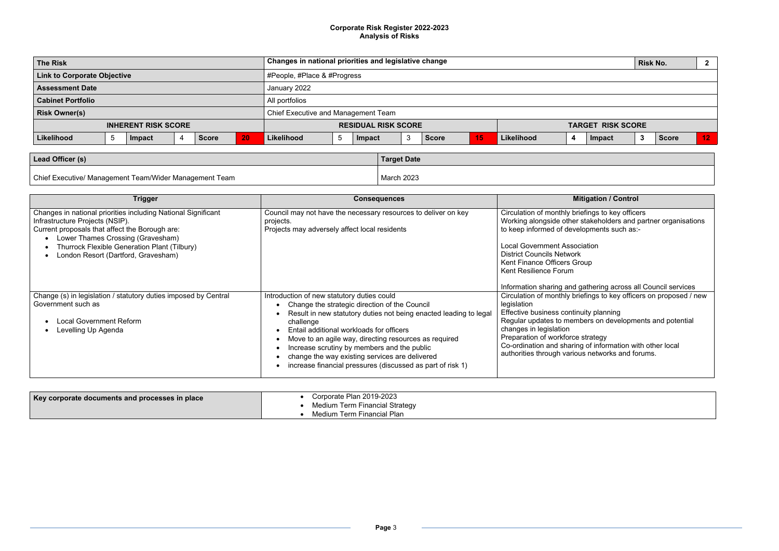|                                     | $\overline{\mathbf{2}}$         |  |  |  |  |  |  |
|-------------------------------------|---------------------------------|--|--|--|--|--|--|
| #People, #Place & #Progress         |                                 |  |  |  |  |  |  |
| January 2022                        |                                 |  |  |  |  |  |  |
| All portfolios                      |                                 |  |  |  |  |  |  |
| Chief Executive and Management Team |                                 |  |  |  |  |  |  |
|                                     |                                 |  |  |  |  |  |  |
| <b>Score</b>                        | 12                              |  |  |  |  |  |  |
|                                     | <b>TARGET RISK SCORE</b><br>- 2 |  |  |  |  |  |  |

| Lead Officer (s)                                       | <b>Target Date</b> |
|--------------------------------------------------------|--------------------|
| Chief Executive/ Management Team/Wider Management Team | March 2023         |

| <b>Trigger</b>                                                                                                                                                                                                                                                                 | <b>Consequences</b>                                                                                                                                                                                                                                                                                                                                                                                                                               | <b>Mitigation / Control</b>                                                                                                                                                                                                                                                                                                                                                              |
|--------------------------------------------------------------------------------------------------------------------------------------------------------------------------------------------------------------------------------------------------------------------------------|---------------------------------------------------------------------------------------------------------------------------------------------------------------------------------------------------------------------------------------------------------------------------------------------------------------------------------------------------------------------------------------------------------------------------------------------------|------------------------------------------------------------------------------------------------------------------------------------------------------------------------------------------------------------------------------------------------------------------------------------------------------------------------------------------------------------------------------------------|
| Changes in national priorities including National Significant<br>Infrastructure Projects (NSIP).<br>Current proposals that affect the Borough are:<br>Lower Thames Crossing (Gravesham)<br>Thurrock Flexible Generation Plant (Tilbury)<br>London Resort (Dartford, Gravesham) | Council may not have the necessary resources to deliver on key<br>projects.<br>Projects may adversely affect local residents                                                                                                                                                                                                                                                                                                                      | Circulation of monthly briefings to key officers<br>Working alongside other stakeholders and partne<br>to keep informed of developments such as:-<br><b>Local Government Association</b><br><b>District Councils Network</b><br>Kent Finance Officers Group<br>Kent Resilience Forum                                                                                                     |
| Change (s) in legislation / statutory duties imposed by Central<br>Government such as<br><b>Local Government Reform</b><br>Levelling Up Agenda                                                                                                                                 | Introduction of new statutory duties could<br>Change the strategic direction of the Council<br>Result in new statutory duties not being enacted leading to legal<br>challenge<br>Entail additional workloads for officers<br>Move to an agile way, directing resources as required<br>Increase scrutiny by members and the public<br>change the way existing services are delivered<br>increase financial pressures (discussed as part of risk 1) | Information sharing and gathering across all Cou<br>Circulation of monthly briefings to key officers on<br>legislation<br>Effective business continuity planning<br>Regular updates to members on developments a<br>changes in legislation<br>Preparation of workforce strategy<br>Co-ordination and sharing of information with oth<br>authorities through various networks and forums. |

| <b>Mitigation / Control</b>                                                                                                                                                                                                                                                                                                                                             |
|-------------------------------------------------------------------------------------------------------------------------------------------------------------------------------------------------------------------------------------------------------------------------------------------------------------------------------------------------------------------------|
| Circulation of monthly briefings to key officers<br>Working alongside other stakeholders and partner organisations<br>to keep informed of developments such as:-                                                                                                                                                                                                        |
| <b>Local Government Association</b><br><b>District Councils Network</b><br><b>Kent Finance Officers Group</b><br>Kent Resilience Forum                                                                                                                                                                                                                                  |
| Information sharing and gathering across all Council services                                                                                                                                                                                                                                                                                                           |
| Circulation of monthly briefings to key officers on proposed / new<br>legislation<br>Effective business continuity planning<br>Regular updates to members on developments and potential<br>changes in legislation<br>Preparation of workforce strategy<br>Co-ordination and sharing of information with other local<br>authorities through various networks and forums. |
|                                                                                                                                                                                                                                                                                                                                                                         |

| <b>Key corporate documents and processes in place</b> | Corporate Plan 2019-2023<br>Medium Term Financial Strategy |
|-------------------------------------------------------|------------------------------------------------------------|
|                                                       | Medium Term Financial Plan                                 |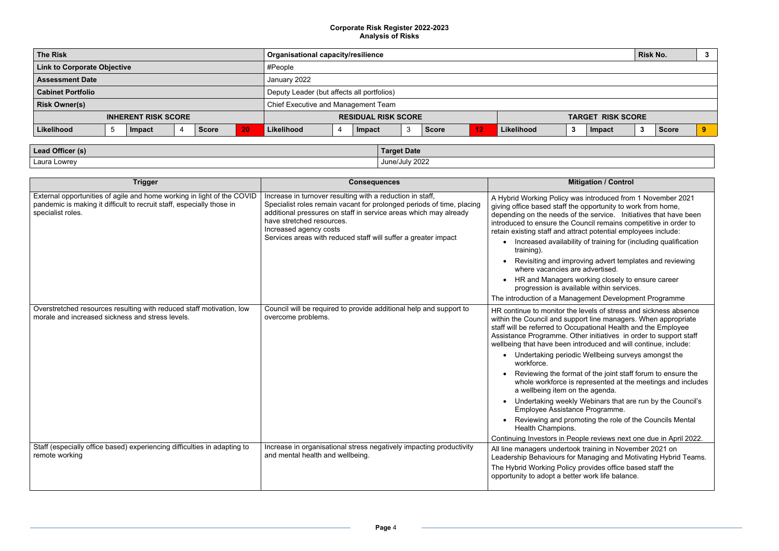# ntroduced from 1 November 2021 portunity to work from home, portuice. Initiatives that have been cil remains competitive in order to potential employees include: If training for (including qualification g advert templates and reviewing dvertised. king closely to ensure career within services. nent Development Programme els of stress and sickness absence line managers. When appropriate tional Health and the Employee initiatives in order to support staff duced and will continue, include: /ellbeing surveys amongst the f the joint staff forum to ensure the resented at the meetings and includes agenda. ebinars that are run by the Council's Programme. ng the role of the Councils Mental continuing Invertinue in April 2022. aining in November 2021 on naging and Motivating Hybrid Teams. vides office based staff the ork life balance.

| <b>The Risk</b>                    |  |        |              |                            | <b>Organisational capacity/resilience</b> |                                            |  |        |   |                          |    |            | <b>Risk No.</b> |        | -3  |              |  |
|------------------------------------|--|--------|--------------|----------------------------|-------------------------------------------|--------------------------------------------|--|--------|---|--------------------------|----|------------|-----------------|--------|-----|--------------|--|
| <b>Link to Corporate Objective</b> |  |        |              |                            |                                           | #People                                    |  |        |   |                          |    |            |                 |        |     |              |  |
| <b>Assessment Date</b>             |  |        | January 2022 |                            |                                           |                                            |  |        |   |                          |    |            |                 |        |     |              |  |
| <b>Cabinet Portfolio</b>           |  |        |              |                            |                                           | Deputy Leader (but affects all portfolios) |  |        |   |                          |    |            |                 |        |     |              |  |
| <b>Risk Owner(s)</b>               |  |        |              |                            | Chief Executive and Management Team       |                                            |  |        |   |                          |    |            |                 |        |     |              |  |
| <b>INHERENT RISK SCORE</b>         |  |        |              | <b>RESIDUAL RISK SCORE</b> |                                           |                                            |  |        |   | <b>TARGET RISK SCORE</b> |    |            |                 |        |     |              |  |
| Likelihood                         |  | Impact |              | <b>Score</b>               | 20                                        | Likelihood                                 |  | Impact | 3 | Score                    | 12 | Likelihood | 3               | Impact | - 3 | <b>Score</b> |  |
|                                    |  |        |              |                            |                                           |                                            |  |        |   |                          |    |            |                 |        |     |              |  |

| Lead Officer (s) | <b>Target Date</b> |
|------------------|--------------------|
|                  | June/July 2022     |
|                  |                    |
| Laura Lowrey     |                    |

| <b>Trigger</b>                                                                                                                                                       | <b>Consequences</b>                                                                                                                                                                                                                                                                                                             | <b>Mitigation / Control</b>                                                                                                                                                                                                                                                                                                                                                                                                                                                                                                                                                                                         |
|----------------------------------------------------------------------------------------------------------------------------------------------------------------------|---------------------------------------------------------------------------------------------------------------------------------------------------------------------------------------------------------------------------------------------------------------------------------------------------------------------------------|---------------------------------------------------------------------------------------------------------------------------------------------------------------------------------------------------------------------------------------------------------------------------------------------------------------------------------------------------------------------------------------------------------------------------------------------------------------------------------------------------------------------------------------------------------------------------------------------------------------------|
| External opportunities of agile and home working in light of the COVID<br>pandemic is making it difficult to recruit staff, especially those in<br>specialist roles. | Increase in turnover resulting with a reduction in staff,<br>Specialist roles remain vacant for prolonged periods of time, placing<br>additional pressures on staff in service areas which may already<br>have stretched resources.<br>Increased agency costs<br>Services areas with reduced staff will suffer a greater impact | A Hybrid Working Policy was introduced from<br>giving office based staff the opportunity to wo<br>depending on the needs of the service. Initi-<br>introduced to ensure the Council remains co<br>retain existing staff and attract potential emp<br>Increased availability of training for (ii<br>training).<br>Revisiting and improving advert temp<br>where vacancies are advertised.<br>HR and Managers working closely to<br>progression is available within service<br>The introduction of a Management Developn                                                                                              |
| Overstretched resources resulting with reduced staff motivation, low<br>morale and increased sickness and stress levels.                                             | Council will be required to provide additional help and support to<br>overcome problems.                                                                                                                                                                                                                                        | HR continue to monitor the levels of stress a<br>within the Council and support line managers<br>staff will be referred to Occupational Health a<br>Assistance Programme. Other initiatives in o<br>wellbeing that have been introduced and will<br>• Undertaking periodic Wellbeing surve<br>workforce.<br>Reviewing the format of the joint staff<br>whole workforce is represented at the<br>a wellbeing item on the agenda.<br>Undertaking weekly Webinars that ar<br>Employee Assistance Programme.<br>Reviewing and promoting the role of<br>Health Champions.<br>Continuing Investors in People reviews next |
| Staff (especially office based) experiencing difficulties in adapting to<br>remote working                                                                           | Increase in organisational stress negatively impacting productivity<br>and mental health and wellbeing.                                                                                                                                                                                                                         | All line managers undertook training in Nove<br>Leadership Behaviours for Managing and Mo<br>The Hybrid Working Policy provides office ba<br>opportunity to adopt a better work life balanc                                                                                                                                                                                                                                                                                                                                                                                                                         |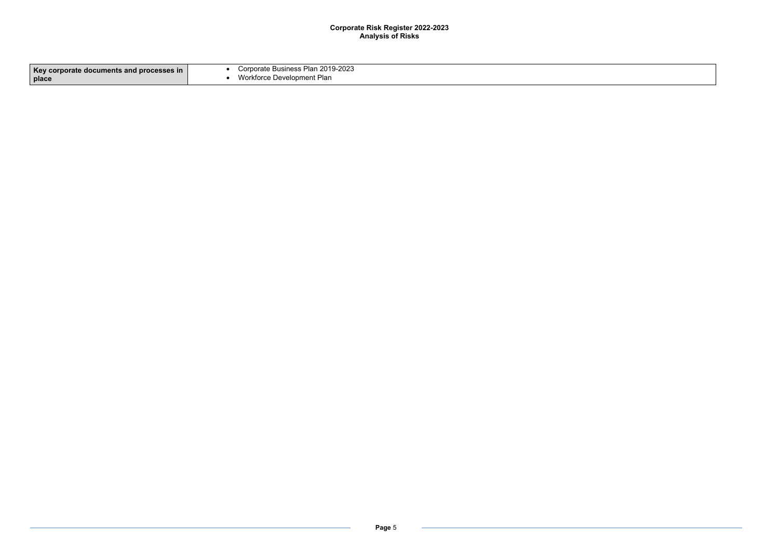| Key corporate documents and processes in | Corporate Business Plan 2019-2023 |
|------------------------------------------|-----------------------------------|
| place                                    | Workforce Development Plan        |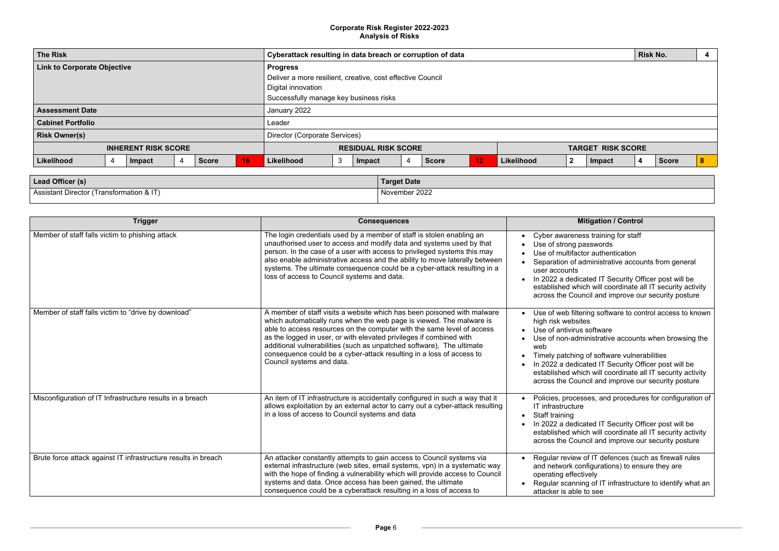|                                                                                                                                                                                                                                                                                                                                                                                                                                                                                                                                                                                                                                                                                                                        |                          |                                                       | <b>Risk No.</b> |              | 4 |  |  |  |  |
|------------------------------------------------------------------------------------------------------------------------------------------------------------------------------------------------------------------------------------------------------------------------------------------------------------------------------------------------------------------------------------------------------------------------------------------------------------------------------------------------------------------------------------------------------------------------------------------------------------------------------------------------------------------------------------------------------------------------|--------------------------|-------------------------------------------------------|-----------------|--------------|---|--|--|--|--|
|                                                                                                                                                                                                                                                                                                                                                                                                                                                                                                                                                                                                                                                                                                                        |                          |                                                       |                 |              |   |  |  |  |  |
|                                                                                                                                                                                                                                                                                                                                                                                                                                                                                                                                                                                                                                                                                                                        | <b>TARGET RISK SCORE</b> |                                                       |                 |              |   |  |  |  |  |
| າood                                                                                                                                                                                                                                                                                                                                                                                                                                                                                                                                                                                                                                                                                                                   | 2                        | <b>Impact</b>                                         | 4               | <b>Score</b> | 8 |  |  |  |  |
|                                                                                                                                                                                                                                                                                                                                                                                                                                                                                                                                                                                                                                                                                                                        |                          |                                                       |                 |              |   |  |  |  |  |
|                                                                                                                                                                                                                                                                                                                                                                                                                                                                                                                                                                                                                                                                                                                        |                          |                                                       |                 |              |   |  |  |  |  |
|                                                                                                                                                                                                                                                                                                                                                                                                                                                                                                                                                                                                                                                                                                                        |                          |                                                       |                 |              |   |  |  |  |  |
|                                                                                                                                                                                                                                                                                                                                                                                                                                                                                                                                                                                                                                                                                                                        |                          |                                                       |                 |              |   |  |  |  |  |
|                                                                                                                                                                                                                                                                                                                                                                                                                                                                                                                                                                                                                                                                                                                        |                          | <b>Mitigation / Control</b>                           |                 |              |   |  |  |  |  |
| Cyber awareness training for staff<br>Use of strong passwords<br>٠<br>Use of multifactor authentication<br>$\bullet$<br>Separation of administrative accounts from general<br>$\bullet$<br>user accounts<br>In 2022 a dedicated IT Security Officer post will be<br>$\bullet$<br>established which will coordinate all IT security activity<br>across the Council and improve our security posture<br>Use of web filtering software to control access to known<br>$\bullet$<br>high risk websites<br>Use of antivirus software<br>Use of non-administrative accounts when browsing the<br>web<br>Timely patching of software vulnerabilities<br>٠<br>In 2022 a dedicated IT Security Officer post will be<br>$\bullet$ |                          |                                                       |                 |              |   |  |  |  |  |
| established which will coordinate all IT security activity<br>across the Council and improve our security posture<br>Policies, processes, and procedures for configuration of<br>IT infrastructure<br>Staff training<br>$\bullet$<br>In 2022 a dedicated IT Security Officer post will be<br>٠<br>established which will coordinate all IT security activity<br>across the Council and improve our security posture                                                                                                                                                                                                                                                                                                    |                          |                                                       |                 |              |   |  |  |  |  |
|                                                                                                                                                                                                                                                                                                                                                                                                                                                                                                                                                                                                                                                                                                                        |                          | Regular review of IT defences (such as firewall rules |                 |              |   |  |  |  |  |

| Lead Officer (s)                         | <b>Target Date</b> |
|------------------------------------------|--------------------|
| Assistant Director (Transformation & IT) | November 2022      |

| <b>The Risk</b>                    | Cyberattack resulting in data breach or corruption of data |               |                |              |                                                            |                               | <b>Risk No.</b>                        |        |   |                          |    |            |                  |        |                         |              |   |
|------------------------------------|------------------------------------------------------------|---------------|----------------|--------------|------------------------------------------------------------|-------------------------------|----------------------------------------|--------|---|--------------------------|----|------------|------------------|--------|-------------------------|--------------|---|
| <b>Link to Corporate Objective</b> |                                                            |               |                |              |                                                            | <b>Progress</b>               |                                        |        |   |                          |    |            |                  |        |                         |              |   |
|                                    |                                                            |               |                |              | Deliver a more resilient, creative, cost effective Council |                               |                                        |        |   |                          |    |            |                  |        |                         |              |   |
|                                    |                                                            |               |                |              |                                                            | Digital innovation            |                                        |        |   |                          |    |            |                  |        |                         |              |   |
|                                    |                                                            |               |                |              |                                                            |                               | Successfully manage key business risks |        |   |                          |    |            |                  |        |                         |              |   |
| <b>Assessment Date</b>             |                                                            |               |                |              |                                                            | January 2022                  |                                        |        |   |                          |    |            |                  |        |                         |              |   |
| <b>Cabinet Portfolio</b>           |                                                            |               |                |              |                                                            | Leader                        |                                        |        |   |                          |    |            |                  |        |                         |              |   |
| <b>Risk Owner(s)</b>               |                                                            |               |                |              |                                                            | Director (Corporate Services) |                                        |        |   |                          |    |            |                  |        |                         |              |   |
| <b>INHERENT RISK SCORE</b>         |                                                            |               |                |              | <b>RESIDUAL RISK SCORE</b>                                 |                               |                                        |        |   | <b>TARGET RISK SCORE</b> |    |            |                  |        |                         |              |   |
| Likelihood                         | 4                                                          | <b>Impact</b> | $\overline{4}$ | <b>Score</b> | 16                                                         | Likelihood                    | 3                                      | Impact | 4 | <b>Score</b>             | 12 | Likelihood | $\boldsymbol{2}$ | Impact | $\overline{\mathbf{4}}$ | <b>Score</b> | 8 |
|                                    |                                                            |               |                |              |                                                            |                               |                                        |        |   |                          |    |            |                  |        |                         |              |   |

| <b>Trigger</b>                                                 | <b>Consequences</b>                                                                                                                                                                                                                                                                                                                                                                                                                                                            | <b>Mitigation / Control</b>                                                                                                                                                                                                                                                                             |
|----------------------------------------------------------------|--------------------------------------------------------------------------------------------------------------------------------------------------------------------------------------------------------------------------------------------------------------------------------------------------------------------------------------------------------------------------------------------------------------------------------------------------------------------------------|---------------------------------------------------------------------------------------------------------------------------------------------------------------------------------------------------------------------------------------------------------------------------------------------------------|
| Member of staff falls victim to phishing attack                | The login credentials used by a member of staff is stolen enabling an<br>unauthorised user to access and modify data and systems used by that<br>person. In the case of a user with access to privileged systems this may<br>also enable administrative access and the ability to move laterally between<br>systems. The ultimate consequence could be a cyber-attack resulting in a<br>loss of access to Council systems and data.                                            | Cyber awareness training for staff<br>Use of strong passwords<br>Use of multifactor authentication<br>Separation of administrative accou<br>user accounts<br>In 2022 a dedicated IT Security Of<br>established which will coordinate a<br>across the Council and improve ou                             |
| Member of staff falls victim to "drive by download"            | A member of staff visits a website which has been poisoned with malware<br>which automatically runs when the web page is viewed. The malware is<br>able to access resources on the computer with the same level of access<br>as the logged in user, or with elevated privileges if combined with<br>additional vulnerabilities (such as unpatched software), The ultimate<br>consequence could be a cyber-attack resulting in a loss of access to<br>Council systems and data. | Use of web filtering software to co<br>high risk websites<br>Use of antivirus software<br>Use of non-administrative account<br>web<br>Timely patching of software vulner<br>$\bullet$<br>In 2022 a dedicated IT Security Of<br>established which will coordinate a<br>across the Council and improve ou |
| Misconfiguration of IT Infrastructure results in a breach      | An item of IT infrastructure is accidentally configured in such a way that it<br>allows exploitation by an external actor to carry out a cyber-attack resulting<br>in a loss of access to Council systems and data                                                                                                                                                                                                                                                             | Policies, processes, and procedure<br>IT infrastructure<br>Staff training<br>$\bullet$<br>In 2022 a dedicated IT Security Of<br>established which will coordinate a<br>across the Council and improve ou                                                                                                |
| Brute force attack against IT infrastructure results in breach | An attacker constantly attempts to gain access to Council systems via<br>external infrastructure (web sites, email systems, vpn) in a systematic way<br>with the hope of finding a vulnerability which will provide access to Council<br>systems and data. Once access has been gained, the ultimate<br>consequence could be a cyberattack resulting in a loss of access to                                                                                                    | Regular review of IT defences (sue<br>and network configurations) to ens<br>operating effectively<br>Regular scanning of IT infrastructu<br>attacker is able to see                                                                                                                                     |

and network configurations) to ensure they are

g of IT infrastructure to identify what an to see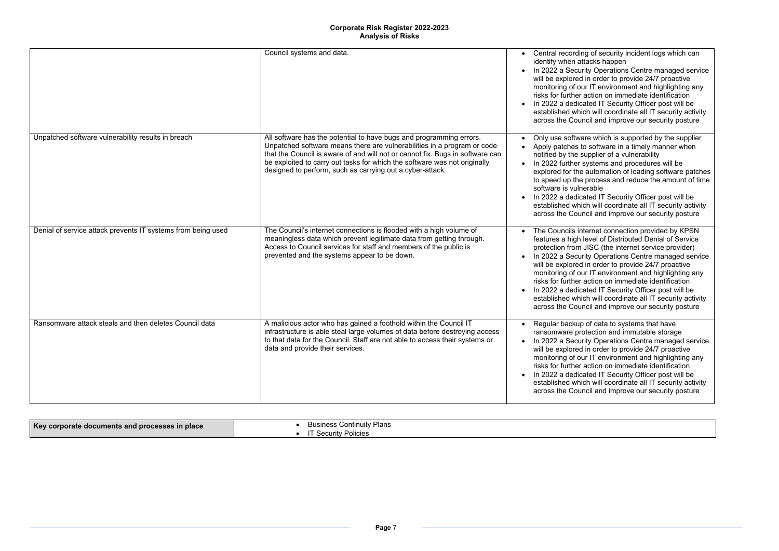g of security incident logs which can tacks happen

ity Operations Centre managed service in order to provide 24/7 proactive ar IT environment and highlighting any action on immediate identification ated IT Security Officer post will be ch will coordinate all IT security activity ncil and improve our security posture

re which is supported by the supplier software in a timely manner when upplier of a vulnerability

systems and procedures will be automation of loading software patches process and reduce the amount of time .<br>erable

ated IT Security Officer post will be ch will coordinate all IT security activity ncil and improve our security posture

ternet connection provided by KPSN level of Distributed Denial of Service JISC (the internet service provider) ity Operations Centre managed service in order to provide 24/7 proactive ar IT environment and highlighting any action on immediate identification ated IT Security Officer post will be ch will coordinate all IT security activity ncil and improve our security posture

of data to systems that have rection and immutable storage ity Operations Centre managed service in order to provide 24/7 proactive ar IT environment and highlighting any action on immediate identification ated IT Security Officer post will be ch will coordinate all IT security activity cil and improve our security posture

|                                                              | Council systems and data.                                                                                                                                                                                                                                                                                                                                                 | Central recording<br>identify when att<br>In 2022 a Securi<br>will be explored<br>monitoring of ou<br>risks for further a<br>In 2022 a dedica<br>established whic<br>across the Coun                                                |
|--------------------------------------------------------------|---------------------------------------------------------------------------------------------------------------------------------------------------------------------------------------------------------------------------------------------------------------------------------------------------------------------------------------------------------------------------|-------------------------------------------------------------------------------------------------------------------------------------------------------------------------------------------------------------------------------------|
| Unpatched software vulnerability results in breach           | All software has the potential to have bugs and programming errors.<br>Unpatched software means there are vulnerabilities in a program or code<br>that the Council is aware of and will not or cannot fix. Bugs in software can<br>be exploited to carry out tasks for which the software was not originally<br>designed to perform, such as carrying out a cyber-attack. | Only use softwar<br>Apply patches to<br>notified by the su<br>In 2022 further s<br>explored for the<br>to speed up the<br>software is vulne<br>In 2022 a dedica<br>established whic<br>across the Coun                              |
| Denial of service attack prevents IT systems from being used | The Council's internet connections is flooded with a high volume of<br>meaningless data which prevent legitimate data from getting through.<br>Access to Council services for staff and members of the public is<br>prevented and the systems appear to be down.                                                                                                          | The Councils int<br>features a high leg<br>protection from.<br>In 2022 a Securi<br>$\bullet$<br>will be explored<br>monitoring of ou<br>risks for further a<br>In 2022 a dedica<br>$\bullet$<br>established whic<br>across the Coun |
| Ransomware attack steals and then deletes Council data       | A malicious actor who has gained a foothold within the Council IT<br>infrastructure is able steal large volumes of data before destroying access<br>to that data for the Council. Staff are not able to access their systems or<br>data and provide their services.                                                                                                       | Regular backup<br>ransomware pro<br>In 2022 a Securi<br>$\bullet$<br>will be explored<br>monitoring of ou<br>risks for further a<br>In 2022 a dedica<br>established whic<br>across the Coun                                         |

| Key corporate documents and processes in place | <b>Business Continuity Plans</b><br><b>Security Policies</b> |  |
|------------------------------------------------|--------------------------------------------------------------|--|
|------------------------------------------------|--------------------------------------------------------------|--|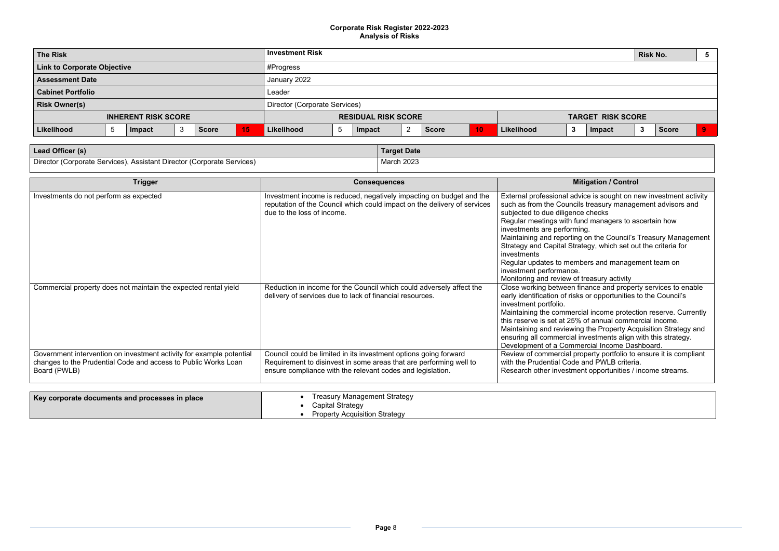- external is sought on new investment activity reasury management advisors and  ${\sf checks}$
- managers to ascertain how
- n the Council's Treasury Management gy, which set out the criteria for
- rs and management team on
- easury activity
- ance and property services to enable r opportunities to the Council's
- I income protection reserve. Currently annual commercial income. he Property Acquisition Strategy and
- ensuring all commercial investments align with this strategy.
	- erty portfolio to ensure it is compliant nd PWLB criteria.
	- opportunities / income streams.

| <b>Investment Risk</b>                     | <b>Risk No.</b><br>. ර                     |  |  |  |  |  |  |
|--------------------------------------------|--------------------------------------------|--|--|--|--|--|--|
|                                            |                                            |  |  |  |  |  |  |
| January 2022                               |                                            |  |  |  |  |  |  |
| Leader                                     |                                            |  |  |  |  |  |  |
| Director (Corporate Services)              |                                            |  |  |  |  |  |  |
| <b>RESIDUAL RISK SCORE</b>                 | <b>TARGET RISK SCORE</b>                   |  |  |  |  |  |  |
| 10<br>Likelihood<br><b>Score</b><br>Impact | Likelihood<br><b>Score</b><br>Impact<br>J. |  |  |  |  |  |  |
|                                            | #Progress                                  |  |  |  |  |  |  |

| Lead Officer (s)                                                       | Target Date |
|------------------------------------------------------------------------|-------------|
| Director (Corporate Services), Assistant Director (Corporate Services) | March 2023  |

| <b>Trigger</b>                                                                                                                                         | <b>Consequences</b>                                                                                                                                                                                  | <b>Mitigation / Control</b>                                                                                                                                                                                                                                                                                                                                                                                                                                                          |
|--------------------------------------------------------------------------------------------------------------------------------------------------------|------------------------------------------------------------------------------------------------------------------------------------------------------------------------------------------------------|--------------------------------------------------------------------------------------------------------------------------------------------------------------------------------------------------------------------------------------------------------------------------------------------------------------------------------------------------------------------------------------------------------------------------------------------------------------------------------------|
| Investments do not perform as expected                                                                                                                 | Investment income is reduced, negatively impacting on budget and the<br>reputation of the Council which could impact on the delivery of services<br>due to the loss of income.                       | External professional advice is sought on new inve<br>such as from the Councils treasury management a<br>subjected to due diligence checks<br>Regular meetings with fund managers to ascertain<br>investments are performing.<br>Maintaining and reporting on the Council's Treasur<br>Strategy and Capital Strategy, which set out the cri<br>investments<br>Regular updates to members and management tea<br>investment performance.<br>Monitoring and review of treasury activity |
| Commercial property does not maintain the expected rental yield                                                                                        | Reduction in income for the Council which could adversely affect the<br>delivery of services due to lack of financial resources.                                                                     | Close working between finance and property servic<br>early identification of risks or opportunities to the C<br>investment portfolio.<br>Maintaining the commercial income protection rese<br>this reserve is set at 25% of annual commercial inc<br>Maintaining and reviewing the Property Acquisition<br>ensuring all commercial investments align with this<br>Development of a Commercial Income Dashboard.                                                                      |
| Government intervention on investment activity for example potential<br>changes to the Prudential Code and access to Public Works Loan<br>Board (PWLB) | Council could be limited in its investment options going forward<br>Requirement to disinvest in some areas that are performing well to<br>ensure compliance with the relevant codes and legislation. | Review of commercial property portfolio to ensure<br>with the Prudential Code and PWLB criteria.<br>Research other investment opportunities / income                                                                                                                                                                                                                                                                                                                                 |
|                                                                                                                                                        |                                                                                                                                                                                                      |                                                                                                                                                                                                                                                                                                                                                                                                                                                                                      |
| Key corporate documents and processes in place                                                                                                         | <b>Treasury Management Strategy</b><br><b>Capital Strategy</b><br><b>Property Acquisition Strategy</b>                                                                                               |                                                                                                                                                                                                                                                                                                                                                                                                                                                                                      |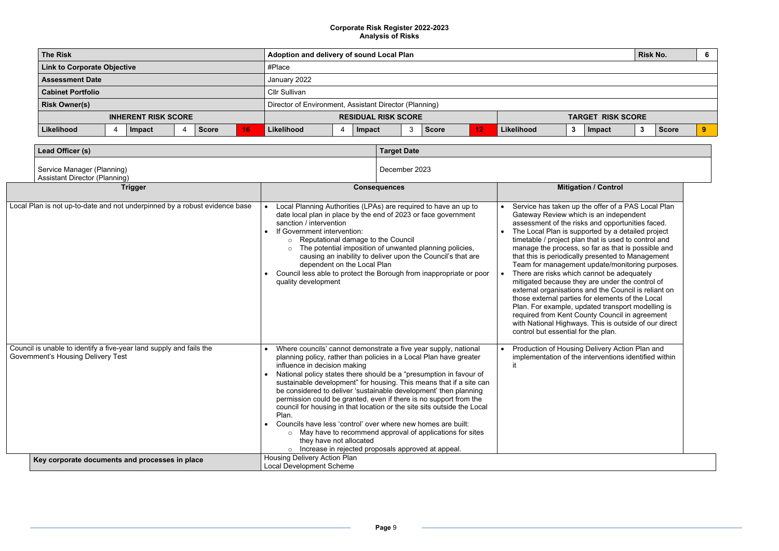| <b>The Risk</b>                                      | Adoption and delivery of sound Local Plan                    | <b>Risk No.</b><br>- 6            |  |
|------------------------------------------------------|--------------------------------------------------------------|-----------------------------------|--|
| <b>Link to Corporate Objective</b>                   | #Place                                                       |                                   |  |
| <b>Assessment Date</b>                               | January 2022                                                 |                                   |  |
| <b>Cabinet Portfolio</b>                             | <b>Cllr Sullivan</b>                                         |                                   |  |
| <b>Risk Owner(s)</b>                                 | Director of Environment, Assistant Director (Planning)       |                                   |  |
| <b>INHERENT RISK SCORE</b>                           | <b>RESIDUAL RISK SCORE</b>                                   | <b>TARGET RISK SCORE</b>          |  |
| 16<br>Likelihood<br><b>Score</b><br>4<br>Impact<br>4 | 3<br>Likelihood<br>Likelihood<br><b>Score</b><br>Impact<br>3 | 3<br>Ō.<br>Impact<br><b>Score</b> |  |

| Lead Officer (s)                                                                                                 |                                                                                                                                                                 | <b>Target Date</b>                                                                                                                                                                                                                                                                                                                                                                                                                                                                                                                                                                                                         |                                                                                                                                                                                                                                                                                                                                                                                                                                                                                                                                                                                                                                                                                                                                                                                                                                               |
|------------------------------------------------------------------------------------------------------------------|-----------------------------------------------------------------------------------------------------------------------------------------------------------------|----------------------------------------------------------------------------------------------------------------------------------------------------------------------------------------------------------------------------------------------------------------------------------------------------------------------------------------------------------------------------------------------------------------------------------------------------------------------------------------------------------------------------------------------------------------------------------------------------------------------------|-----------------------------------------------------------------------------------------------------------------------------------------------------------------------------------------------------------------------------------------------------------------------------------------------------------------------------------------------------------------------------------------------------------------------------------------------------------------------------------------------------------------------------------------------------------------------------------------------------------------------------------------------------------------------------------------------------------------------------------------------------------------------------------------------------------------------------------------------|
| Service Manager (Planning)<br><b>Assistant Director (Planning)</b>                                               |                                                                                                                                                                 | December 2023                                                                                                                                                                                                                                                                                                                                                                                                                                                                                                                                                                                                              |                                                                                                                                                                                                                                                                                                                                                                                                                                                                                                                                                                                                                                                                                                                                                                                                                                               |
| <b>Trigger</b>                                                                                                   |                                                                                                                                                                 | <b>Consequences</b>                                                                                                                                                                                                                                                                                                                                                                                                                                                                                                                                                                                                        | <b>Mitigation / Control</b>                                                                                                                                                                                                                                                                                                                                                                                                                                                                                                                                                                                                                                                                                                                                                                                                                   |
| Local Plan is not up-to-date and not underpinned by a robust evidence base                                       | sanction / intervention<br>If Government intervention:<br>○ Reputational damage to the Council<br>$\circ$<br>dependent on the Local Plan<br>quality development | Local Planning Authorities (LPAs) are required to have an up to<br>date local plan in place by the end of 2023 or face government<br>The potential imposition of unwanted planning policies,<br>causing an inability to deliver upon the Council's that are<br>Council less able to protect the Borough from inappropriate or poor                                                                                                                                                                                                                                                                                         | Service has taken up the offer of a PAS Local Plan<br>Gateway Review which is an independent<br>assessment of the risks and opportunities faced.<br>The Local Plan is supported by a detailed project<br>timetable / project plan that is used to control and<br>manage the process, so far as that is possible and<br>that this is periodically presented to Management<br>Team for management update/monitoring purpose<br>There are risks which cannot be adequately<br>mitigated because they are under the control of<br>external organisations and the Council is reliant on<br>those external parties for elements of the Local<br>Plan. For example, updated transport modelling is<br>required from Kent County Council in agreement<br>with National Highways. This is outside of our direct<br>control but essential for the plan. |
| Council is unable to identify a five-year land supply and fails the<br><b>Government's Housing Delivery Test</b> | influence in decision making<br>Plan.<br>Councils have less 'control' over where new homes are built:<br>they have not allocated                                | Where councils' cannot demonstrate a five year supply, national<br>planning policy, rather than policies in a Local Plan have greater<br>National policy states there should be a "presumption in favour of<br>sustainable development" for housing. This means that if a site can<br>be considered to deliver 'sustainable development' then planning<br>permission could be granted, even if there is no support from the<br>council for housing in that location or the site sits outside the Local<br>o May have to recommend approval of applications for sites<br>Increase in rejected proposals approved at appeal. | Production of Housing Delivery Action Plan and<br>implementation of the interventions identified withir                                                                                                                                                                                                                                                                                                                                                                                                                                                                                                                                                                                                                                                                                                                                       |
| Key corporate documents and processes in place                                                                   | <b>Housing Delivery Action Plan</b><br><b>Local Development Scheme</b>                                                                                          |                                                                                                                                                                                                                                                                                                                                                                                                                                                                                                                                                                                                                            |                                                                                                                                                                                                                                                                                                                                                                                                                                                                                                                                                                                                                                                                                                                                                                                                                                               |

| Service has taken up the offer of a PAS Local Plan<br>Gateway Review which is an independent<br>assessment of the risks and opportunities faced.<br>The Local Plan is supported by a detailed project<br>timetable / project plan that is used to control and<br>manage the process, so far as that is possible and<br>that this is periodically presented to Management<br>Team for management update/monitoring purposes.<br>There are risks which cannot be adequately<br>mitigated because they are under the control of<br>external organisations and the Council is reliant on<br>those external parties for elements of the Local<br>Plan. For example, updated transport modelling is<br>required from Kent County Council in agreement<br>with National Highways. This is outside of our direct<br>control but essential for the plan. |
|-------------------------------------------------------------------------------------------------------------------------------------------------------------------------------------------------------------------------------------------------------------------------------------------------------------------------------------------------------------------------------------------------------------------------------------------------------------------------------------------------------------------------------------------------------------------------------------------------------------------------------------------------------------------------------------------------------------------------------------------------------------------------------------------------------------------------------------------------|
| Production of Housing Delivery Action Plan and<br>implementation of the interventions identified within<br>it                                                                                                                                                                                                                                                                                                                                                                                                                                                                                                                                                                                                                                                                                                                                   |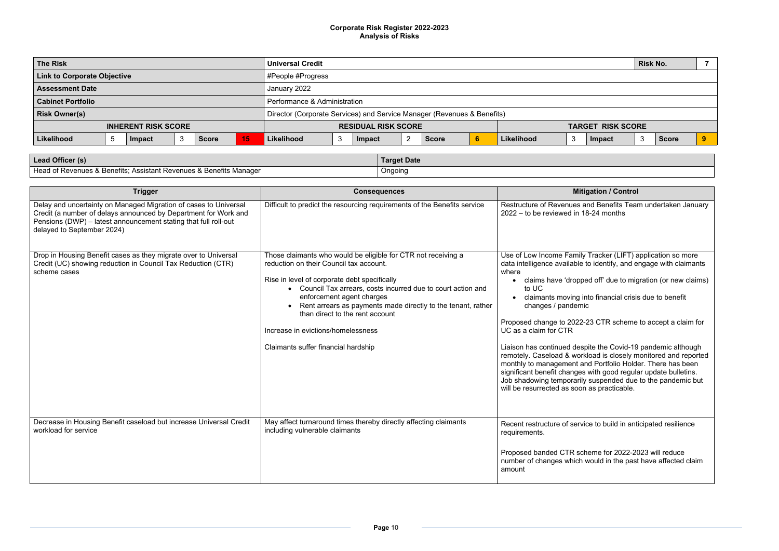nd Benefits Team undertaken January  $3-24$  months

Tracker (LIFT) application so more o identify, and engage with claimants

ed off' due to migration (or new claims)

to financial crisis due to benefit

23 CTR scheme to accept a claim for

| <b>The Risk</b>                                 | <b>Universal Credit</b>                                                 |                            | <b>Risk No.</b>    |    |
|-------------------------------------------------|-------------------------------------------------------------------------|----------------------------|--------------------|----|
| <b>Link to Corporate Objective</b>              | #People #Progress                                                       |                            |                    |    |
| <b>Assessment Date</b>                          | January 2022                                                            |                            |                    |    |
| <b>Cabinet Portfolio</b>                        | Performance & Administration                                            |                            |                    |    |
| <b>Risk Owner(s)</b>                            | Director (Corporate Services) and Service Manager (Revenues & Benefits) |                            |                    |    |
| <b>INHERENT RISK SCORE</b>                      | <b>RESIDUAL RISK SCORE</b>                                              | <b>TARGET RISK SCORE</b>   |                    |    |
| Likelihood<br>5<br>15<br><b>Score</b><br>Impact | Likelihood<br>6<br><b>Score</b><br>Impact                               | Likelihood<br>-3<br>Impact | -3<br><b>Score</b> | -9 |

| Lead Officer (s)                                                   | Target Date |
|--------------------------------------------------------------------|-------------|
| Head of Revenues & Benefits; Assistant Revenues & Benefits Manager | Ongoing     |

Liaison has continued despite the Covid-19 pandemic although remotely. Caseload & workload is closely monitored and reported monthly to management and Portfolio Holder. There has been significant benefit changes with good regular update bulletins. Job shadowing temporarily suspended due to the pandemic but as practicable.

e to build in anticipated resilience

eme for 2022-2023 will reduce vould in the past have affected claim

| <b>Trigger</b>                                                                                                                                                                                                                       | <b>Consequences</b>                                                                                                                                                                                                                                                                                                                                                                                                                    | <b>Mitigation / Control</b>                                                                                                                                                                                                                                                                                                                                                                                                                                                                                                                                               |
|--------------------------------------------------------------------------------------------------------------------------------------------------------------------------------------------------------------------------------------|----------------------------------------------------------------------------------------------------------------------------------------------------------------------------------------------------------------------------------------------------------------------------------------------------------------------------------------------------------------------------------------------------------------------------------------|---------------------------------------------------------------------------------------------------------------------------------------------------------------------------------------------------------------------------------------------------------------------------------------------------------------------------------------------------------------------------------------------------------------------------------------------------------------------------------------------------------------------------------------------------------------------------|
| Delay and uncertainty on Managed Migration of cases to Universal<br>Credit (a number of delays announced by Department for Work and<br>Pensions (DWP) - latest announcement stating that full roll-out<br>delayed to September 2024) | Difficult to predict the resourcing requirements of the Benefits service                                                                                                                                                                                                                                                                                                                                                               | Restructure of Revenues and Benefits Tear<br>$2022 -$ to be reviewed in 18-24 months                                                                                                                                                                                                                                                                                                                                                                                                                                                                                      |
| Drop in Housing Benefit cases as they migrate over to Universal<br>Credit (UC) showing reduction in Council Tax Reduction (CTR)<br>scheme cases                                                                                      | Those claimants who would be eligible for CTR not receiving a<br>reduction on their Council tax account.<br>Rise in level of corporate debt specifically<br>• Council Tax arrears, costs incurred due to court action and<br>enforcement agent charges<br>Rent arrears as payments made directly to the tenant, rather<br>than direct to the rent account<br>Increase in evictions/homelessness<br>Claimants suffer financial hardship | Use of Low Income Family Tracker (LIFT) a<br>data intelligence available to identify, and e<br>where<br>claims have 'dropped off' due to mig<br>to UC<br>claimants moving into financial crisis<br>changes / pandemic<br>Proposed change to 2022-23 CTR scheme<br>UC as a claim for CTR<br>Liaison has continued despite the Covid-19<br>remotely. Caseload & workload is closely m<br>monthly to management and Portfolio Hold<br>significant benefit changes with good regula<br>Job shadowing temporarily suspended due<br>will be resurrected as soon as practicable. |
| Decrease in Housing Benefit caseload but increase Universal Credit<br>workload for service                                                                                                                                           | May affect turnaround times thereby directly affecting claimants<br>including vulnerable claimants                                                                                                                                                                                                                                                                                                                                     | Recent restructure of service to build in ant<br>requirements.<br>Proposed banded CTR scheme for 2022-20<br>number of changes which would in the past<br>amount                                                                                                                                                                                                                                                                                                                                                                                                           |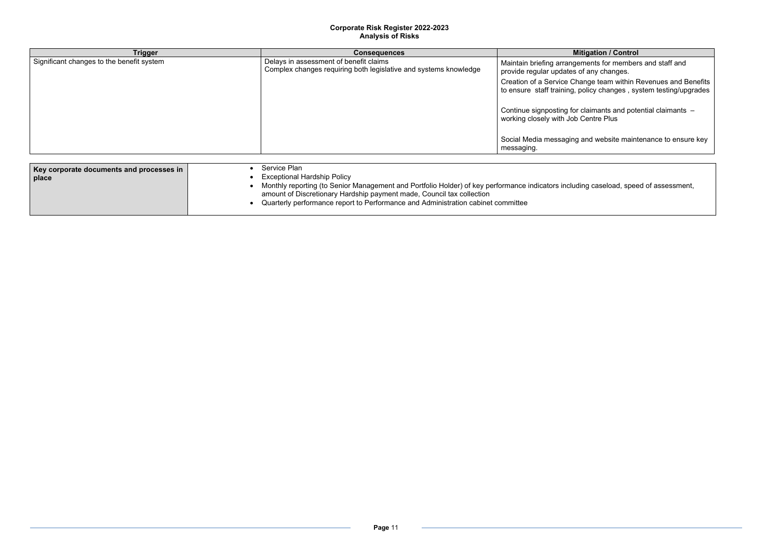# **Triggerigeries** *I* Control

- ents for members and staff and any changes.
- Creation of a Service Change team within Revenues and Benefits to ensure staff training, policy changes , system testing/upgrades
	- $A$  aimants and potential claimants  $$ entre Plus
	- d website maintenance to ensure key
	- g caseload, speed of assessment,

| <b>Trigger</b>                            | <b>Consequences</b>                                                                                        | <b>Mitig</b>                                                  |
|-------------------------------------------|------------------------------------------------------------------------------------------------------------|---------------------------------------------------------------|
| Significant changes to the benefit system | Delays in assessment of benefit claims<br>Complex changes requiring both legislative and systems knowledge | Maintain briefing arrangeme<br>provide regular updates of a   |
|                                           |                                                                                                            | Creation of a Service Chang<br>to ensure staff training, poli |
|                                           |                                                                                                            | Continue signposting for cla<br>working closely with Job Ce   |
|                                           |                                                                                                            | Social Media messaging and<br>messaging.                      |
|                                           | Service Plan                                                                                               |                                                               |
| Key corporate documents and processes in  | Forecastic and Headers Defined                                                                             |                                                               |

| place | <b>Exceptional Hardship Policy</b>                                                                    |
|-------|-------------------------------------------------------------------------------------------------------|
|       | Monthly reporting (to Senior Management and Portfolio Holder) of key performance indicators including |
|       | amount of Discretionary Hardship payment made, Council tax collection                                 |
|       | Quarterly performance report to Performance and Administration cabinet committee                      |
|       |                                                                                                       |